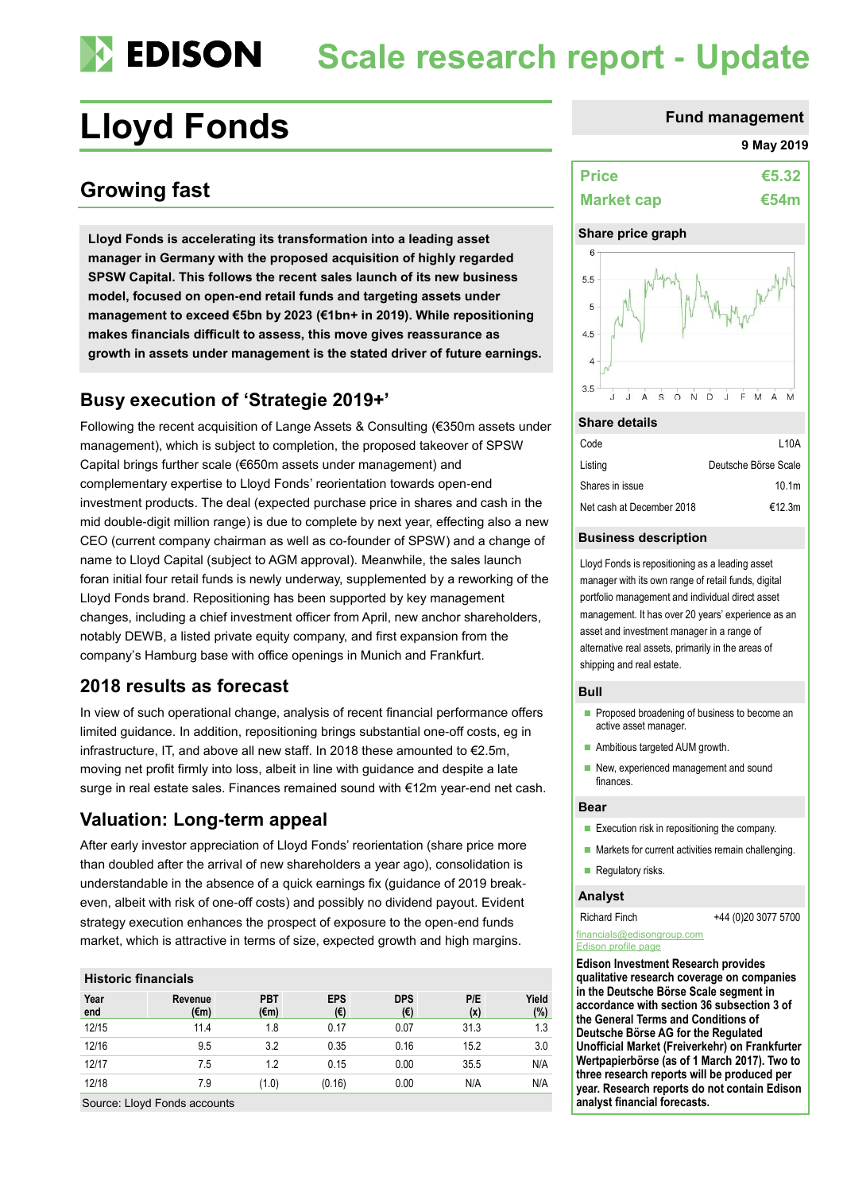## **EDISON Scale research report - Update**

# Lloyd Fonds **Fund management**

## **Growing fast**

**Lloyd Fonds is accelerating its transformation into a leading asset manager in Germany with the proposed acquisition of highly regarded SPSW Capital. This follows the recent sales launch of its new business model, focused on open-end retail funds and targeting assets under management to exceed €5bn by 2023 (€1bn+ in 2019). While repositioning makes financials difficult to assess, this move gives reassurance as growth in assets under management is the stated driver of future earnings.**

## **Busy execution of 'Strategie 2019+'**

Following the recent acquisition of Lange Assets & Consulting (€350m assets under management), which is subject to completion, the proposed takeover of SPSW Capital brings further scale (€650m assets under management) and complementary expertise to Lloyd Fonds' reorientation towards open-end investment products. The deal (expected purchase price in shares and cash in the mid double-digit million range) is due to complete by next year, effecting also a new CEO (current company chairman as well as co-founder of SPSW) and a change of name to Lloyd Capital (subject to AGM approval). Meanwhile, the sales launch foran initial four retail funds is newly underway, supplemented by a reworking of the Lloyd Fonds brand. Repositioning has been supported by key management changes, including a chief investment officer from April, new anchor shareholders, notably DEWB, a listed private equity company, and first expansion from the company's Hamburg base with office openings in Munich and Frankfurt.

## **2018 results as forecast**

In view of such operational change, analysis of recent financial performance offers limited guidance. In addition, repositioning brings substantial one-off costs, eg in infrastructure, IT, and above all new staff. In 2018 these amounted to €2.5m, moving net profit firmly into loss, albeit in line with guidance and despite a late surge in real estate sales. Finances remained sound with €12m year-end net cash.

## **Valuation: Long-term appeal**

After early investor appreciation of Lloyd Fonds' reorientation (share price more than doubled after the arrival of new shareholders a year ago), consolidation is understandable in the absence of a quick earnings fix (guidance of 2019 breakeven, albeit with risk of one-off costs) and possibly no dividend payout. Evident strategy execution enhances the prospect of exposure to the open-end funds market, which is attractive in terms of size, expected growth and high margins.

### **Historic financials**

| Year<br>end | Revenue<br>(€m) | <b>PBT</b><br>(€m) | <b>EPS</b><br>(€) | <b>DPS</b><br>(€) | P/E<br>(x) | Yield<br>(%) |
|-------------|-----------------|--------------------|-------------------|-------------------|------------|--------------|
| 12/15       | 11.4            | 1.8                | 0.17              | 0.07              | 31.3       | 1.3          |
| 12/16       | 9.5             | 3.2                | 0.35              | 0.16              | 15.2       | 3.0          |
| 12/17       | 7.5             | 1.2                | 0.15              | 0.00              | 35.5       | N/A          |
| 12/18       | 7.9             | (1.0)              | (0.16)            | 0.00              | N/A        | N/A          |

Source: Lloyd Fonds accounts

#### **9 May 2019**

| <b>Price</b>      | €5.32       |
|-------------------|-------------|
| <b>Market cap</b> | <b>€54m</b> |

#### **Share price graph**



#### **Share details**

| Code                      | L10A                 |
|---------------------------|----------------------|
| Listing                   | Deutsche Börse Scale |
| Shares in issue           | 10.1 <sub>m</sub>    |
| Net cash at December 2018 | €12.3m               |

#### **Business description**

Lloyd Fonds is repositioning as a leading asset manager with its own range of retail funds, digital portfolio management and individual direct asset management. It has over 20 years' experience as an asset and investment manager in a range of alternative real assets, primarily in the areas of shipping and real estate.

#### **Bull**

- **Proposed broadening of business to become an** active asset manager.
- Ambitious targeted AUM growth.
- New, experienced management and sound finances.

#### **Bear**

- $\blacksquare$  Execution risk in repositioning the company.
- $\blacksquare$  Markets for current activities remain challenging.
- Regulatory risks.

#### **Analyst**

Richard Finch +44 (0)20 3077 5700

#### [financials@edisongroup.com](mailto:financials@edisongroup.com) [Edison profile page](https://www.edisongroup.com/company/lloyd-fonds)

**Edison Investment Research provides qualitative research coverage on companies in the Deutsche Börse Scale segment in accordance with section 36 subsection 3 of the General Terms and Conditions of Deutsche Börse AG for the Regulated Unofficial Market (Freiverkehr) on Frankfurter Wertpapierbörse (as of 1 March 2017). Two to three research reports will be produced per year. Research reports do not contain Edison analyst financial forecasts.**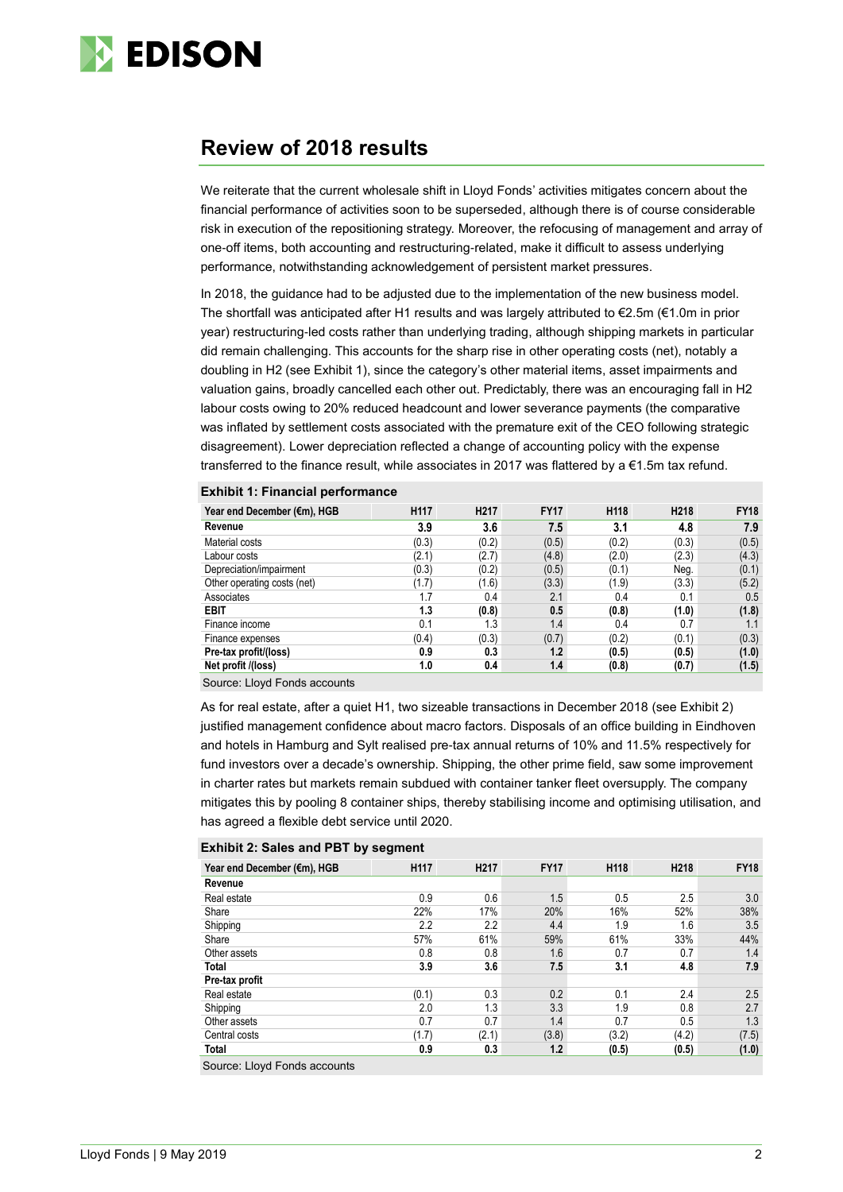

## **Review of 2018 results**

We reiterate that the current wholesale shift in Lloyd Fonds' activities mitigates concern about the financial performance of activities soon to be superseded, although there is of course considerable risk in execution of the repositioning strategy. Moreover, the refocusing of management and array of one-off items, both accounting and restructuring-related, make it difficult to assess underlying performance, notwithstanding acknowledgement of persistent market pressures.

In 2018, the guidance had to be adjusted due to the implementation of the new business model. The shortfall was anticipated after H1 results and was largely attributed to €2.5m (€1.0m in prior year) restructuring-led costs rather than underlying trading, although shipping markets in particular did remain challenging. This accounts for the sharp rise in other operating costs (net), notably a doubling in H2 (see Exhibit 1), since the category's other material items, asset impairments and valuation gains, broadly cancelled each other out. Predictably, there was an encouraging fall in H2 labour costs owing to 20% reduced headcount and lower severance payments (the comparative was inflated by settlement costs associated with the premature exit of the CEO following strategic disagreement). Lower depreciation reflected a change of accounting policy with the expense transferred to the finance result, while associates in 2017 was flattered by a  $\epsilon$ 1.5m tax refund.

|  | <b>Exhibit 1: Financial performance</b> |  |
|--|-----------------------------------------|--|
|  |                                         |  |

| Year end December (€m), HGB | H117  | H <sub>217</sub> | <b>FY17</b> | H118  | H <sub>218</sub> | <b>FY18</b> |
|-----------------------------|-------|------------------|-------------|-------|------------------|-------------|
| Revenue                     | 3.9   | 3.6              | 7.5         | 3.1   | 4.8              | 7.9         |
| Material costs              | (0.3) | (0.2)            | (0.5)       | (0.2) | (0.3)            | (0.5)       |
| Labour costs                | (2.1) | (2.7)            | (4.8)       | (2.0) | (2.3)            | (4.3)       |
| Depreciation/impairment     | (0.3) | (0.2)            | (0.5)       | (0.1) | Neg.             | (0.1)       |
| Other operating costs (net) | (1.7) | (1.6)            | (3.3)       | (1.9) | (3.3)            | (5.2)       |
| Associates                  | 1.7   | 0.4              | 2.1         | 0.4   | 0.1              | 0.5         |
| <b>EBIT</b>                 | 1.3   | (0.8)            | 0.5         | (0.8) | (1.0)            | (1.8)       |
| Finance income              | 0.1   | 1.3              | 1.4         | 0.4   | 0.7              | 1.1         |
| Finance expenses            | (0.4) | (0.3)            | (0.7)       | (0.2) | (0.1)            | (0.3)       |
| Pre-tax profit/(loss)       | 0.9   | 0.3              | 1.2         | (0.5) | (0.5)            | (1.0)       |
| Net profit /(loss)          | 1.0   | 0.4              | 1.4         | (0.8) | (0.7)            | (1.5)       |

Source: Lloyd Fonds accounts

As for real estate, after a quiet H1, two sizeable transactions in December 2018 (see Exhibit 2) justified management confidence about macro factors. Disposals of an office building in Eindhoven and hotels in Hamburg and Sylt realised pre-tax annual returns of 10% and 11.5% respectively for fund investors over a decade's ownership. Shipping, the other prime field, saw some improvement in charter rates but markets remain subdued with container tanker fleet oversupply. The company mitigates this by pooling 8 container ships, thereby stabilising income and optimising utilisation, and has agreed a flexible debt service until 2020.

| <b>Exhibit 2: Sales and PBT by segment</b> |  |  |  |  |
|--------------------------------------------|--|--|--|--|
|--------------------------------------------|--|--|--|--|

| Year end December (€m), HGB | H117  | H <sub>217</sub> | <b>FY17</b> | H118  | H218  | <b>FY18</b> |
|-----------------------------|-------|------------------|-------------|-------|-------|-------------|
| Revenue                     |       |                  |             |       |       |             |
| Real estate                 | 0.9   | 0.6              | 1.5         | 0.5   | 2.5   | 3.0         |
| Share                       | 22%   | 17%              | 20%         | 16%   | 52%   | 38%         |
| Shipping                    | 2.2   | $2.2\phantom{0}$ | 4.4         | 1.9   | 1.6   | 3.5         |
| Share                       | 57%   | 61%              | 59%         | 61%   | 33%   | 44%         |
| Other assets                | 0.8   | 0.8              | 1.6         | 0.7   | 0.7   | 1.4         |
| <b>Total</b>                | 3.9   | 3.6              | 7.5         | 3.1   | 4.8   | 7.9         |
| Pre-tax profit              |       |                  |             |       |       |             |
| Real estate                 | (0.1) | 0.3              | 0.2         | 0.1   | 2.4   | 2.5         |
| Shipping                    | 2.0   | 1.3              | 3.3         | 1.9   | 0.8   | 2.7         |
| Other assets                | 0.7   | 0.7              | 1.4         | 0.7   | 0.5   | 1.3         |
| Central costs               | (1.7) | (2.1)            | (3.8)       | (3.2) | (4.2) | (7.5)       |
| <b>Total</b>                | 0.9   | 0.3              | 1.2         | (0.5) | (0.5) | (1.0)       |
|                             |       |                  |             |       |       |             |

Source: Lloyd Fonds accounts